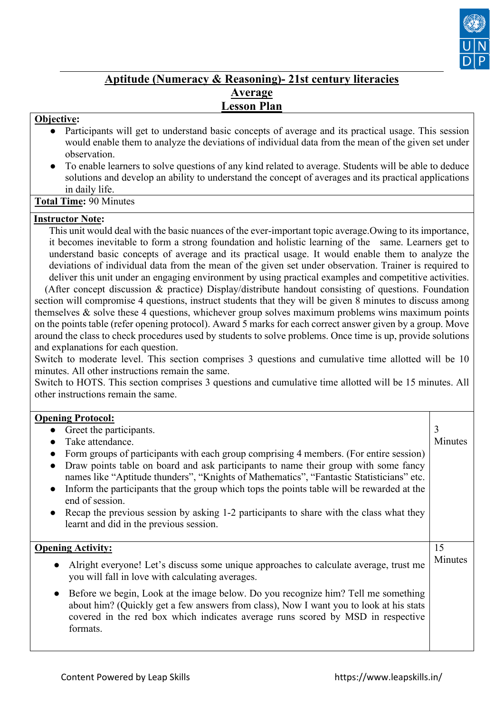

# **Aptitude (Numeracy & Reasoning)- 21st century literacies Average Lesson Plan**

### **Objective:**

- Participants will get to understand basic concepts of average and its practical usage. This session would enable them to analyze the deviations of individual data from the mean of the given set under observation.
- To enable learners to solve questions of any kind related to average. Students will be able to deduce solutions and develop an ability to understand the concept of averages and its practical applications in daily life.

**Total Time:** 90 Minutes

#### **Instructor Note:**

 This unit would deal with the basic nuances of the ever-important topic average.Owing to its importance, it becomes inevitable to form a strong foundation and holistic learning of the same. Learners get to understand basic concepts of average and its practical usage. It would enable them to analyze the deviations of individual data from the mean of the given set under observation. Trainer is required to deliver this unit under an engaging environment by using practical examples and competitive activities.

 (After concept discussion & practice) Display/distribute handout consisting of questions. Foundation section will compromise 4 questions, instruct students that they will be given 8 minutes to discuss among themselves & solve these 4 questions, whichever group solves maximum problems wins maximum points on the points table (refer opening protocol). Award 5 marks for each correct answer given by a group. Move around the class to check procedures used by students to solve problems. Once time is up, provide solutions and explanations for each question.

Switch to moderate level. This section comprises 3 questions and cumulative time allotted will be 10 minutes. All other instructions remain the same.

Switch to HOTS. This section comprises 3 questions and cumulative time allotted will be 15 minutes. All other instructions remain the same.

### **Opening Protocol:**

| Greet the participants.<br>Take attendance.<br>Form groups of participants with each group comprising 4 members. (For entire session)<br>Draw points table on board and ask participants to name their group with some fancy<br>names like "Aptitude thunders", "Knights of Mathematics", "Fantastic Statisticians" etc.<br>Inform the participants that the group which tops the points table will be rewarded at the<br>end of session.<br>Recap the previous session by asking 1-2 participants to share with the class what they<br>learnt and did in the previous session. | 3<br>Minutes  |
|---------------------------------------------------------------------------------------------------------------------------------------------------------------------------------------------------------------------------------------------------------------------------------------------------------------------------------------------------------------------------------------------------------------------------------------------------------------------------------------------------------------------------------------------------------------------------------|---------------|
| <b>Opening Activity:</b><br>Alright everyone! Let's discuss some unique approaches to calculate average, trust me<br>$\bullet$<br>you will fall in love with calculating averages.                                                                                                                                                                                                                                                                                                                                                                                              | 15<br>Minutes |
| Before we begin, Look at the image below. Do you recognize him? Tell me something<br>$\bullet$<br>about him? (Quickly get a few answers from class), Now I want you to look at his stats<br>covered in the red box which indicates average runs scored by MSD in respective<br>formats.                                                                                                                                                                                                                                                                                         |               |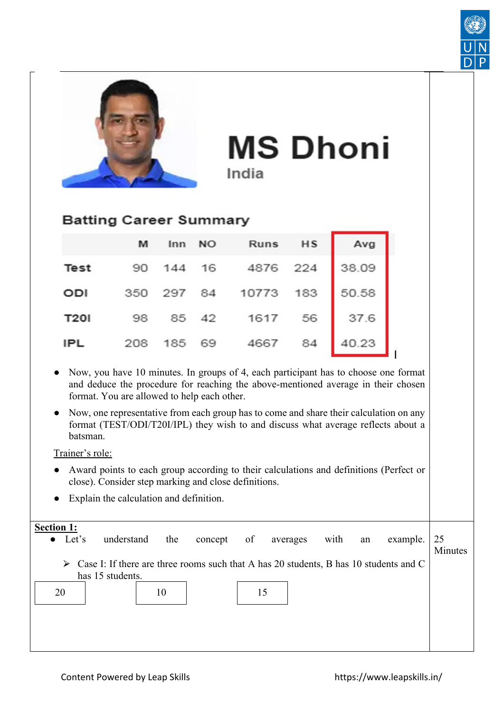



**MS Dhoni** India

# **Batting Career Summary**

|             | M |  | Inn NO Runs HS Avg            |  |
|-------------|---|--|-------------------------------|--|
|             |   |  | Test 90 144 16 4876 224 38.09 |  |
| ODI         |   |  | 350 297 84 10773 183 50.58    |  |
| <b>T201</b> |   |  | 98 85 42 1617 56 37.6         |  |
| <b>IPL</b>  |   |  | 208 185 69 4667 84 40.23      |  |

- Now, you have 10 minutes. In groups of 4, each participant has to choose one format and deduce the procedure for reaching the above-mentioned average in their chosen format. You are allowed to help each other.
- Now, one representative from each group has to come and share their calculation on any format (TEST/ODI/T20I/IPL) they wish to and discuss what average reflects about a batsman.

## Trainer's role:

- Award points to each group according to their calculations and definitions (Perfect or close). Consider step marking and close definitions.
- Explain the calculation and definition.

| <b>Section 1:</b><br>Let's<br>$\bullet$ | understand                                                                                             | the | concept | of | averages | with | an | example. | 25<br>Minutes |
|-----------------------------------------|--------------------------------------------------------------------------------------------------------|-----|---------|----|----------|------|----|----------|---------------|
|                                         | $\triangleright$ Case I: If there are three rooms such that A has 20 students, B has 10 students and C |     |         |    |          |      |    |          |               |
|                                         | has 15 students.                                                                                       |     |         |    |          |      |    |          |               |
| 20                                      |                                                                                                        | 10  |         | 15 |          |      |    |          |               |
|                                         |                                                                                                        |     |         |    |          |      |    |          |               |
|                                         |                                                                                                        |     |         |    |          |      |    |          |               |
|                                         |                                                                                                        |     |         |    |          |      |    |          |               |
|                                         |                                                                                                        |     |         |    |          |      |    |          |               |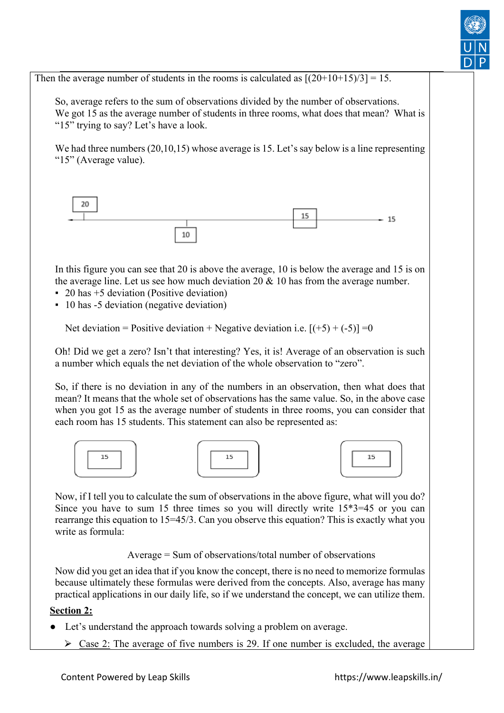

Then the average number of students in the rooms is calculated as  $[(20+10+15)/3] = 15$ .

So, average refers to the sum of observations divided by the number of observations. We got 15 as the average number of students in three rooms, what does that mean? What is "15" trying to say? Let's have a look.

We had three numbers (20,10,15) whose average is 15. Let's say below is a line representing "15" (Average value).



In this figure you can see that 20 is above the average, 10 is below the average and 15 is on the average line. Let us see how much deviation  $20 \& 10$  has from the average number.

- $\approx$  20 has  $+5$  deviation (Positive deviation)
- 10 has -5 deviation (negative deviation)

Net deviation = Positive deviation + Negative deviation i.e.  $[(+5) + (-5)] = 0$ 

Oh! Did we get a zero? Isn't that interesting? Yes, it is! Average of an observation is such a number which equals the net deviation of the whole observation to "zero".

So, if there is no deviation in any of the numbers in an observation, then what does that mean? It means that the whole set of observations has the same value. So, in the above case when you got 15 as the average number of students in three rooms, you can consider that each room has 15 students. This statement can also be represented as:







Now, if I tell you to calculate the sum of observations in the above figure, what will you do? Since you have to sum 15 three times so you will directly write 15\*3=45 or you can rearrange this equation to 15=45/3. Can you observe this equation? This is exactly what you write as formula:

Average = Sum of observations/total number of observations

Now did you get an idea that if you know the concept, there is no need to memorize formulas because ultimately these formulas were derived from the concepts. Also, average has many practical applications in our daily life, so if we understand the concept, we can utilize them.

#### **Section 2:**

- Let's understand the approach towards solving a problem on average.
	- $\geq$  Case 2: The average of five numbers is 29. If one number is excluded, the average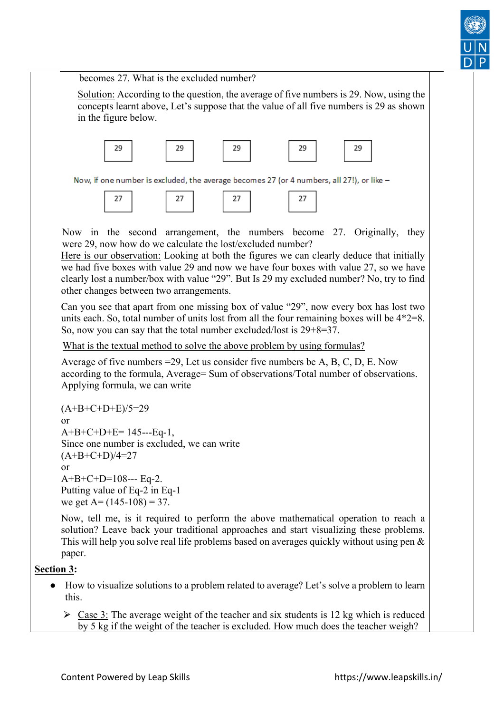

becomes 27. What is the excluded number?

Solution: According to the question, the average of five numbers is 29. Now, using the concepts learnt above, Let's suppose that the value of all five numbers is 29 as shown in the figure below.



Now, if one number is excluded, the average becomes 27 (or 4 numbers, all 27!), or like -

$$
\begin{array}{|c|c|c|c|c|}\n\hline\n27 & 27 & 27 \\
\hline\n\end{array}
$$

 Now in the second arrangement, the numbers become 27. Originally, they were 29, now how do we calculate the lost/excluded number?

Here is our observation: Looking at both the figures we can clearly deduce that initially we had five boxes with value 29 and now we have four boxes with value 27, so we have clearly lost a number/box with value "29". But Is 29 my excluded number? No, try to find other changes between two arrangements.

Can you see that apart from one missing box of value "29", now every box has lost two units each. So, total number of units lost from all the four remaining boxes will be 4\*2=8. So, now you can say that the total number excluded/lost is 29+8=37.

What is the textual method to solve the above problem by using formulas?

Average of five numbers =29, Let us consider five numbers be A, B, C, D, E. Now according to the formula, Average= Sum of observations/Total number of observations. Applying formula, we can write

```
(A+B+C+D+E)/5=29or 
A+B+C+D+E= 145---Eq-1, 
Since one number is excluded, we can write 
(A+B+C+D)/4=27or 
A+B+C+D=108--- Eq-2. 
Putting value of Eq-2 in Eq-1 
we get A = (145-108) = 37.
```
Now, tell me, is it required to perform the above mathematical operation to reach a solution? Leave back your traditional approaches and start visualizing these problems. This will help you solve real life problems based on averages quickly without using pen & paper.

## **Section 3:**

- How to visualize solutions to a problem related to average? Let's solve a problem to learn this.
	- $\geq$  Case 3: The average weight of the teacher and six students is 12 kg which is reduced by 5 kg if the weight of the teacher is excluded. How much does the teacher weigh?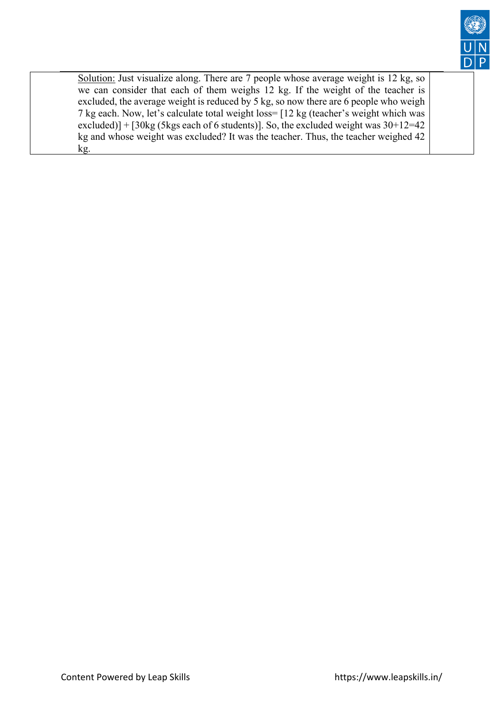

Solution: Just visualize along. There are 7 people whose average weight is 12 kg, so we can consider that each of them weighs 12 kg. If the weight of the teacher is excluded, the average weight is reduced by 5 kg, so now there are 6 people who weigh 7 kg each. Now, let's calculate total weight loss= [12 kg (teacher's weight which was excluded)] +  $[30\text{kg}$  (5kgs each of 6 students)]. So, the excluded weight was  $30+12=42$ kg and whose weight was excluded? It was the teacher. Thus, the teacher weighed 42 kg.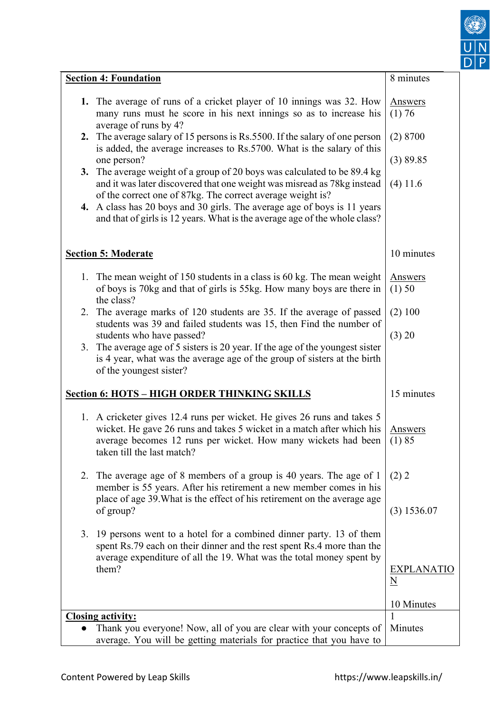

| <b>Section 4: Foundation</b>                                                                                                                                                                                                                    | 8 minutes                         |
|-------------------------------------------------------------------------------------------------------------------------------------------------------------------------------------------------------------------------------------------------|-----------------------------------|
| 1. The average of runs of a cricket player of 10 innings was 32. How<br>many runs must he score in his next innings so as to increase his<br>average of runs by 4?                                                                              | <b>Answers</b><br>(1) 76          |
| The average salary of 15 persons is Rs.5500. If the salary of one person<br>2.<br>is added, the average increases to Rs.5700. What is the salary of this                                                                                        | (2) 8700                          |
| one person?                                                                                                                                                                                                                                     | (3) 89.85                         |
| 3. The average weight of a group of 20 boys was calculated to be 89.4 kg<br>and it was later discovered that one weight was misread as 78kg instead<br>of the correct one of 87kg. The correct average weight is?                               | $(4)$ 11.6                        |
| 4. A class has 20 boys and 30 girls. The average age of boys is 11 years<br>and that of girls is 12 years. What is the average age of the whole class?                                                                                          |                                   |
| <b>Section 5: Moderate</b>                                                                                                                                                                                                                      | 10 minutes                        |
| 1. The mean weight of 150 students in a class is 60 kg. The mean weight                                                                                                                                                                         | <b>Answers</b>                    |
| of boys is 70kg and that of girls is 55kg. How many boys are there in<br>the class?                                                                                                                                                             | (1) 50                            |
| 2. The average marks of 120 students are 35. If the average of passed<br>students was 39 and failed students was 15, then Find the number of                                                                                                    | (2) 100                           |
| students who have passed?                                                                                                                                                                                                                       | (3) 20                            |
| The average age of 5 sisters is 20 year. If the age of the youngest sister<br>3.<br>is 4 year, what was the average age of the group of sisters at the birth<br>of the youngest sister?                                                         |                                   |
| <b>Section 6: HOTS - HIGH ORDER THINKING SKILLS</b>                                                                                                                                                                                             | 15 minutes                        |
| 1. A cricketer gives 12.4 runs per wicket. He gives 26 runs and takes 5<br>wicket. He gave 26 runs and takes 5 wicket in a match after which his<br>average becomes 12 runs per wicket. How many wickets had been<br>taken till the last match? | <b>Answers</b><br>(1) 85          |
| The average age of 8 members of a group is 40 years. The age of 1<br>2.<br>member is 55 years. After his retirement a new member comes in his                                                                                                   | (2) 2                             |
| place of age 39. What is the effect of his retirement on the average age<br>of group?                                                                                                                                                           | $(3)$ 1536.07                     |
| 3.<br>19 persons went to a hotel for a combined dinner party. 13 of them<br>spent Rs.79 each on their dinner and the rest spent Rs.4 more than the<br>average expenditure of all the 19. What was the total money spent by                      |                                   |
| them?                                                                                                                                                                                                                                           | EXPLANATIO<br>$\underline{\rm N}$ |
|                                                                                                                                                                                                                                                 | 10 Minutes                        |
| <b>Closing activity:</b>                                                                                                                                                                                                                        | 1                                 |
| Thank you everyone! Now, all of you are clear with your concepts of<br>average. You will be getting materials for practice that you have to                                                                                                     | Minutes                           |